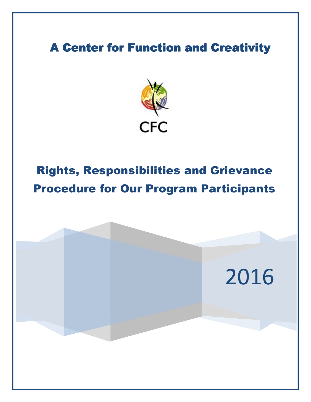# A Center for Function and Creativity



# Rights, Responsibilities and Grievance Procedure for Our Program Participants

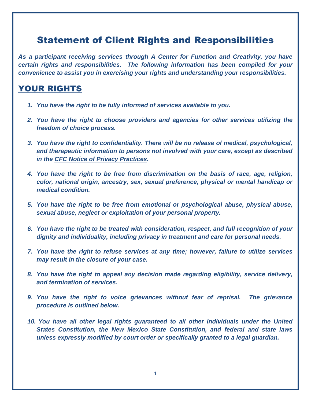# Statement of Client Rights and Responsibilities

*As a participant receiving services through A Center for Function and Creativity, you have certain rights and responsibilities. The following information has been compiled for your convenience to assist you in exercising your rights and understanding your responsibilities.* 

#### YOUR RIGHTS

- *1. You have the right to be fully informed of services available to you.*
- *2. You have the right to choose providers and agencies for other services utilizing the freedom of choice process.*
- *3. You have the right to confidentiality. There will be no release of medical, psychological, and therapeutic information to persons not involved with your care, except as described in the CFC Notice of Privacy Practices.*
- *4. You have the right to be free from discrimination on the basis of race, age, religion, color, national origin, ancestry, sex, sexual preference, physical or mental handicap or medical condition.*
- *5. You have the right to be free from emotional or psychological abuse, physical abuse, sexual abuse, neglect or exploitation of your personal property.*
- *6. You have the right to be treated with consideration, respect, and full recognition of your dignity and individuality, including privacy in treatment and care for personal needs.*
- *7. You have the right to refuse services at any time; however, failure to utilize services may result in the closure of your case.*
- *8. You have the right to appeal any decision made regarding eligibility, service delivery, and termination of services.*
- *9. You have the right to voice grievances without fear of reprisal. The grievance procedure is outlined below.*
- *10. You have all other legal rights guaranteed to all other individuals under the United States Constitution, the New Mexico State Constitution, and federal and state laws unless expressly modified by court order or specifically granted to a legal guardian.*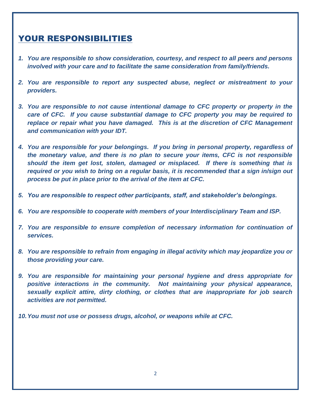#### YOUR RESPONSIBILITIES

- *1. You are responsible to show consideration, courtesy, and respect to all peers and persons involved with your care and to facilitate the same consideration from family/friends.*
- *2. You are responsible to report any suspected abuse, neglect or mistreatment to your providers.*
- *3. You are responsible to not cause intentional damage to CFC property or property in the care of CFC. If you cause substantial damage to CFC property you may be required to*  replace or repair what you have damaged. This is at the discretion of CFC Management *and communication with your IDT.*
- *4. You are responsible for your belongings. If you bring in personal property, regardless of the monetary value, and there is no plan to secure your items, CFC is not responsible should the item get lost, stolen, damaged or misplaced. If there is something that is required or you wish to bring on a regular basis, it is recommended that a sign in/sign out process be put in place prior to the arrival of the item at CFC.*
- *5. You are responsible to respect other participants, staff, and stakeholder's belongings.*
- *6. You are responsible to cooperate with members of your Interdisciplinary Team and ISP.*
- *7. You are responsible to ensure completion of necessary information for continuation of services.*
- *8. You are responsible to refrain from engaging in illegal activity which may jeopardize you or those providing your care.*
- *9. You are responsible for maintaining your personal hygiene and dress appropriate for positive interactions in the community. Not maintaining your physical appearance, sexually explicit attire, dirty clothing, or clothes that are inappropriate for job search activities are not permitted.*
- *10.You must not use or possess drugs, alcohol, or weapons while at CFC.*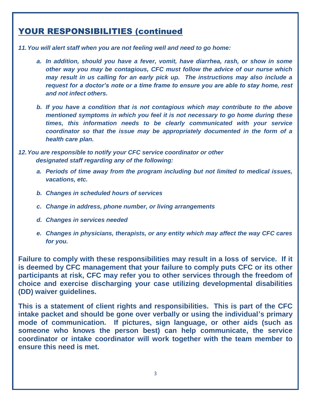#### YOUR RESPONSIBILITIES (continued

*11.You will alert staff when you are not feeling well and need to go home:*

- *a. In addition, should you have a fever, vomit, have diarrhea, rash, or show in some other way you may be contagious, CFC must follow the advice of our nurse which may result in us calling for an early pick up. The instructions may also include a request for a doctor's note or a time frame to ensure you are able to stay home, rest and not infect others.*
- *b. If you have a condition that is not contagious which may contribute to the above mentioned symptoms in which you feel it is not necessary to go home during these times, this information needs to be clearly communicated with your service coordinator so that the issue may be appropriately documented in the form of a health care plan.*
- *12.You are responsible to notify your CFC service coordinator or other designated staff regarding any of the following:*
	- *a. Periods of time away from the program including but not limited to medical issues, vacations, etc.*
	- *b. Changes in scheduled hours of services*
	- *c. Change in address, phone number, or living arrangements*
	- *d. Changes in services needed*
	- *e. Changes in physicians, therapists, or any entity which may affect the way CFC cares for you.*

**Failure to comply with these responsibilities may result in a loss of service. If it is deemed by CFC management that your failure to comply puts CFC or its other participants at risk, CFC may refer you to other services through the freedom of choice and exercise discharging your case utilizing developmental disabilities (DD) waiver guidelines.** 

**This is a statement of client rights and responsibilities. This is part of the CFC intake packet and should be gone over verbally or using the individual's primary mode of communication. If pictures, sign language, or other aids (such as someone who knows the person best) can help communicate, the service coordinator or intake coordinator will work together with the team member to ensure this need is met.**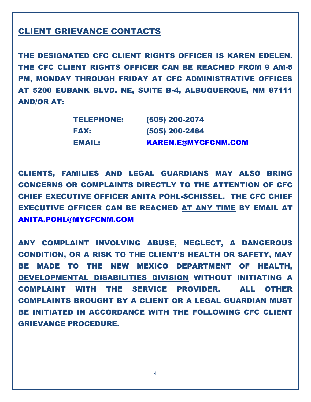#### CLIENT GRIEVANCE CONTACTS

THE DESIGNATED CFC CLIENT RIGHTS OFFICER IS KAREN EDELEN. THE CFC CLIENT RIGHTS OFFICER CAN BE REACHED FROM 9 AM-5 PM, MONDAY THROUGH FRIDAY AT CFC ADMINISTRATIVE OFFICES AT 5200 EUBANK BLVD. NE, SUITE B-4, ALBUQUERQUE, NM 87111 AND/OR AT:

| <b>TELEPHONE:</b> | (505) 200-2074             |
|-------------------|----------------------------|
| <b>FAX:</b>       | (505) 200-2484             |
| EMAIL:            | <b>KAREN.E@MYCFCNM.COM</b> |

CLIENTS, FAMILIES AND LEGAL GUARDIANS MAY ALSO BRING CONCERNS OR COMPLAINTS DIRECTLY TO THE ATTENTION OF CFC CHIEF EXECUTIVE OFFICER ANITA POHL-SCHISSEL. THE CFC CHIEF EXECUTIVE OFFICER CAN BE REACHED AT ANY TIME BY EMAIL AT [ANITA.POHL@MYCFCNM.COM](mailto:Anita.Pohl@mycfcnm.com)

ANY COMPLAINT INVOLVING ABUSE, NEGLECT, A DANGEROUS CONDITION, OR A RISK TO THE CLIENT'S HEALTH OR SAFETY, MAY BE MADE TO THE NEW MEXICO DEPARTMENT OF HEALTH, DEVELOPMENTAL DISABILITIES DIVISION WITHOUT INITIATING A COMPLAINT WITH THE SERVICE PROVIDER. ALL OTHER COMPLAINTS BROUGHT BY A CLIENT OR A LEGAL GUARDIAN MUST BE INITIATED IN ACCORDANCE WITH THE FOLLOWING CFC CLIENT GRIEVANCE PROCEDURE**.**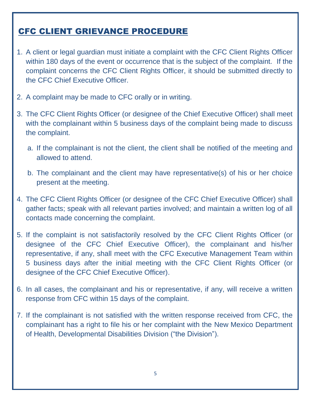# CFC CLIENT GRIEVANCE PROCEDURE

- 1. A client or legal guardian must initiate a complaint with the CFC Client Rights Officer within 180 days of the event or occurrence that is the subject of the complaint. If the complaint concerns the CFC Client Rights Officer, it should be submitted directly to the CFC Chief Executive Officer.
- 2. A complaint may be made to CFC orally or in writing.
- 3. The CFC Client Rights Officer (or designee of the Chief Executive Officer) shall meet with the complainant within 5 business days of the complaint being made to discuss the complaint.
	- a. If the complainant is not the client, the client shall be notified of the meeting and allowed to attend.
	- b. The complainant and the client may have representative(s) of his or her choice present at the meeting.
- 4. The CFC Client Rights Officer (or designee of the CFC Chief Executive Officer) shall gather facts; speak with all relevant parties involved; and maintain a written log of all contacts made concerning the complaint.
- 5. If the complaint is not satisfactorily resolved by the CFC Client Rights Officer (or designee of the CFC Chief Executive Officer), the complainant and his/her representative, if any, shall meet with the CFC Executive Management Team within 5 business days after the initial meeting with the CFC Client Rights Officer (or designee of the CFC Chief Executive Officer).
- 6. In all cases, the complainant and his or representative, if any, will receive a written response from CFC within 15 days of the complaint.
- 7. If the complainant is not satisfied with the written response received from CFC, the complainant has a right to file his or her complaint with the New Mexico Department of Health, Developmental Disabilities Division ("the Division").